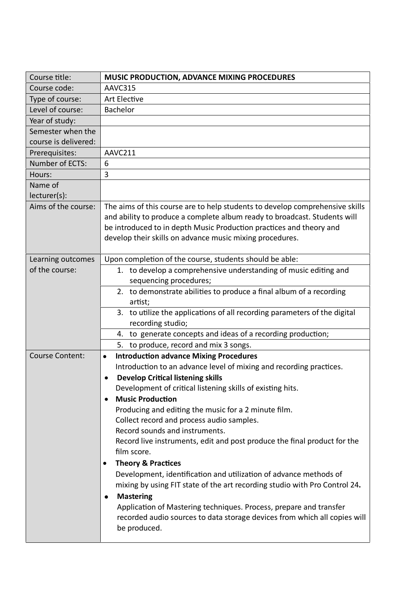| Course title:          | MUSIC PRODUCTION, ADVANCE MIXING PROCEDURES                                  |
|------------------------|------------------------------------------------------------------------------|
| Course code:           | AAVC315                                                                      |
| Type of course:        | <b>Art Elective</b>                                                          |
| Level of course:       | Bachelor                                                                     |
| Year of study:         |                                                                              |
| Semester when the      |                                                                              |
| course is delivered:   |                                                                              |
| Prerequisites:         | AAVC211                                                                      |
| Number of ECTS:        | 6                                                                            |
| Hours:                 | 3                                                                            |
| Name of                |                                                                              |
| lecturer(s):           |                                                                              |
| Aims of the course:    | The aims of this course are to help students to develop comprehensive skills |
|                        | and ability to produce a complete album ready to broadcast. Students will    |
|                        | be introduced to in depth Music Production practices and theory and          |
|                        | develop their skills on advance music mixing procedures.                     |
|                        |                                                                              |
| Learning outcomes      | Upon completion of the course, students should be able:                      |
| of the course:         | 1. to develop a comprehensive understanding of music editing and             |
|                        | sequencing procedures;                                                       |
|                        | 2. to demonstrate abilities to produce a final album of a recording          |
|                        | artist;                                                                      |
|                        |                                                                              |
|                        | 3. to utilize the applications of all recording parameters of the digital    |
|                        | recording studio;                                                            |
|                        | 4. to generate concepts and ideas of a recording production;                 |
|                        | to produce, record and mix 3 songs.<br>5.                                    |
| <b>Course Content:</b> | <b>Introduction advance Mixing Procedures</b><br>$\bullet$                   |
|                        | Introduction to an advance level of mixing and recording practices.          |
|                        | <b>Develop Critical listening skills</b><br>$\bullet$                        |
|                        | Development of critical listening skills of existing hits.                   |
|                        | <b>Music Production</b><br>$\bullet$                                         |
|                        | Producing and editing the music for a 2 minute film.                         |
|                        | Collect record and process audio samples.                                    |
|                        | Record sounds and instruments.                                               |
|                        | Record live instruments, edit and post produce the final product for the     |
|                        | film score.                                                                  |
|                        | <b>Theory &amp; Practices</b><br>$\bullet$                                   |
|                        | Development, identification and utilization of advance methods of            |
|                        | mixing by using FIT state of the art recording studio with Pro Control 24.   |
|                        | <b>Mastering</b><br>٠                                                        |
|                        | Application of Mastering techniques. Process, prepare and transfer           |
|                        | recorded audio sources to data storage devices from which all copies will    |
|                        | be produced.                                                                 |